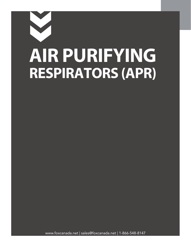# **AIR PURIFYING RESPIRATORS (APR)**

www.foxcanada.net | sales@foxcanada.net | 1-866-548-8147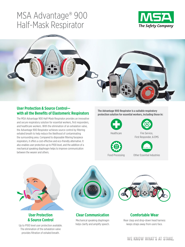# MSA Advantage® 900 Half-Mask Respirator





# **User Protection & Source Control with all the Benefits of Elastomeric Respirators**

The MSA Advantage 900 Half-Mask Respirator provides an innovative and secure respiratory solution for essential workers, first responders, and healthcare workers. With the elimination of an exhalation valve, the Advantage 900 Respirator achieves source control by filtering exhaled breath to help reduce the likelihood of contaminating the surrounding area. Compared to disposable filtering facepiece respirators, it offers a cost-effective and eco-friendly alternative. It also enables user protection up to P100 level, and the addition of a mechanical speaking diaphragm helps to improve communication between the wearer and others.

**The Advantage 900 Respirator is a suitable respiratory protection solution for essential workers, including those in:**









Fire Service, First Responder, & EMS



Other Essential Industries



# **User Protection & Source Control**

Up to P100 level user protection available. The elimination of the exhalation valve provides filtration of exhaled breath.



# **Clear Communication**

Mechanical speaking diaphragm helps clarify and amplify speech.



# **Comfortable Wear**

Rear clasp and drop-down head harness keeps straps away from users face.

# WE KNOW WHAT'S AT STAKE.